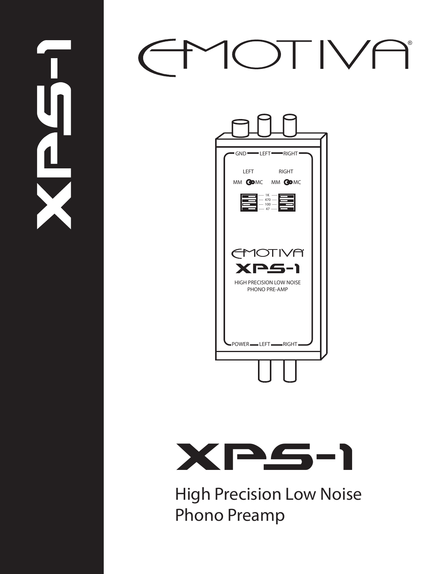# OTIVE ®



 $\mathbf{L}$ 



High Precision Low Noise Phono Preamp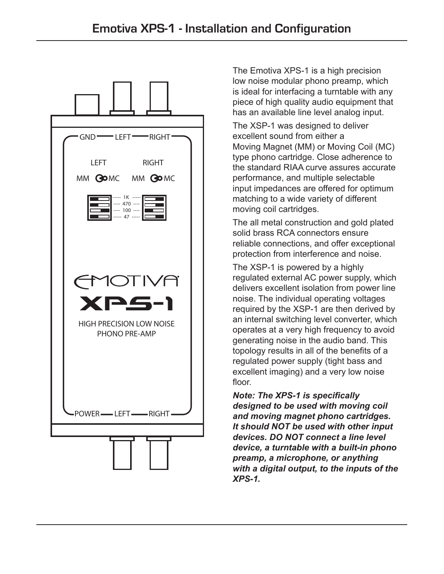

The Emotiva XPS-1 is a high precision low noise modular phono preamp, which is ideal for interfacing a turntable with any piece of high quality audio equipment that has an available line level analog input.

The XSP-1 was designed to deliver excellent sound from either a Moving Magnet (MM) or Moving Coil (MC) type phono cartridge. Close adherence to the standard RIAA curve assures accurate performance, and multiple selectable input impedances are offered for optimum matching to a wide variety of different moving coil cartridges.

The all metal construction and gold plated solid brass RCA connectors ensure reliable connections, and offer exceptional protection from interference and noise.

The XSP-1 is powered by a highly regulated external AC power supply, which delivers excellent isolation from power line noise. The individual operating voltages required by the XSP-1 are then derived by an internal switching level converter, which operates at a very high frequency to avoid generating noise in the audio band. This topology results in all of the benefits of a regulated power supply (tight bass and excellent imaging) and a very low noise floor.

*Note: The XPS-1 is specifically designed to be used with moving coil and moving magnet phono cartridges. It should NOT be used with other input devices. DO NOT connect a line level device, a turntable with a built-in phono preamp, a microphone, or anything with a digital output, to the inputs of the XPS-1.*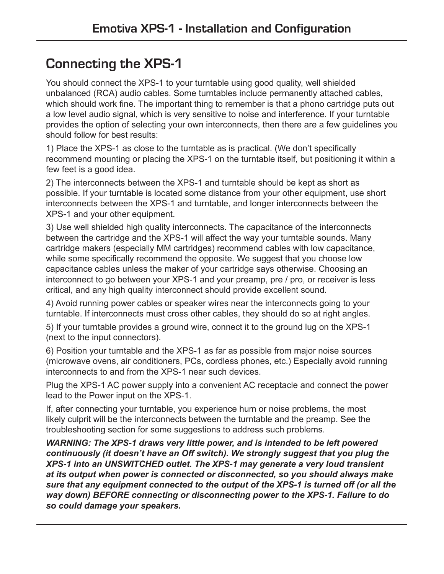# **Connecting the XPS-1**

You should connect the XPS-1 to your turntable using good quality, well shielded unbalanced (RCA) audio cables. Some turntables include permanently attached cables, which should work fine. The important thing to remember is that a phono cartridge puts out a low level audio signal, which is very sensitive to noise and interference. If your turntable provides the option of selecting your own interconnects, then there are a few guidelines you should follow for best results:

1) Place the XPS-1 as close to the turntable as is practical. (We don't specifically recommend mounting or placing the XPS-1 on the turntable itself, but positioning it within a few feet is a good idea.

2) The interconnects between the XPS-1 and turntable should be kept as short as possible. If your turntable is located some distance from your other equipment, use short interconnects between the XPS-1 and turntable, and longer interconnects between the XPS-1 and your other equipment.

3) Use well shielded high quality interconnects. The capacitance of the interconnects between the cartridge and the XPS-1 will affect the way your turntable sounds. Many cartridge makers (especially MM cartridges) recommend cables with low capacitance, while some specifically recommend the opposite. We suggest that you choose low capacitance cables unless the maker of your cartridge says otherwise. Choosing an interconnect to go between your XPS-1 and your preamp, pre / pro, or receiver is less critical, and any high quality interconnect should provide excellent sound.

4) Avoid running power cables or speaker wires near the interconnects going to your turntable. If interconnects must cross other cables, they should do so at right angles.

5) If your turntable provides a ground wire, connect it to the ground lug on the XPS-1 (next to the input connectors).

6) Position your turntable and the XPS-1 as far as possible from major noise sources (microwave ovens, air conditioners, PCs, cordless phones, etc.) Especially avoid running interconnects to and from the XPS-1 near such devices.

Plug the XPS-1 AC power supply into a convenient AC receptacle and connect the power lead to the Power input on the XPS-1.

If, after connecting your turntable, you experience hum or noise problems, the most likely culprit will be the interconnects between the turntable and the preamp. See the troubleshooting section for some suggestions to address such problems.

*WARNING: The XPS-1 draws very little power, and is intended to be left powered continuously (it doesn't have an Off switch). We strongly suggest that you plug the XPS-1 into an UNSWITCHED outlet. The XPS-1 may generate a very loud transient at its output when power is connected or disconnected, so you should always make sure that any equipment connected to the output of the XPS-1 is turned off (or all the way down) BEFORE connecting or disconnecting power to the XPS-1. Failure to do so could damage your speakers.*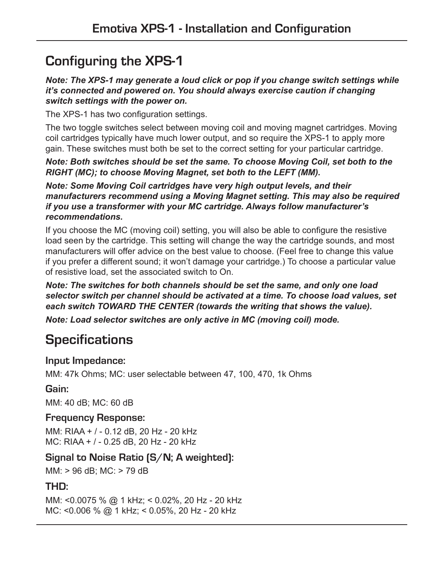# **Configuring the XPS-1**

#### *Note: The XPS-1 may generate a loud click or pop if you change switch settings while it's connected and powered on. You should always exercise caution if changing switch settings with the power on.*

The XPS-1 has two configuration settings.

The two toggle switches select between moving coil and moving magnet cartridges. Moving coil cartridges typically have much lower output, and so require the XPS-1 to apply more gain. These switches must both be set to the correct setting for your particular cartridge.

*Note: Both switches should be set the same. To choose Moving Coil, set both to the RIGHT (MC); to choose Moving Magnet, set both to the LEFT (MM).* 

*Note: Some Moving Coil cartridges have very high output levels, and their manufacturers recommend using a Moving Magnet setting. This may also be required if you use a transformer with your MC cartridge. Always follow manufacturer's recommendations.* 

If you choose the MC (moving coil) setting, you will also be able to configure the resistive load seen by the cartridge. This setting will change the way the cartridge sounds, and most manufacturers will offer advice on the best value to choose. (Feel free to change this value if you prefer a different sound; it won't damage your cartridge.) To choose a particular value of resistive load, set the associated switch to On.

#### *Note: The switches for both channels should be set the same, and only one load selector switch per channel should be activated at a time. To choose load values, set each switch TOWARD THE CENTER (towards the writing that shows the value).*

*Note: Load selector switches are only active in MC (moving coil) mode.* 

# **Specifications**

### **Input Impedance:**

MM: 47k Ohms; MC: user selectable between 47, 100, 470, 1k Ohms

# **Gain:**

MM: 40 dB; MC: 60 dB

# **Frequency Response:**

MM: RIAA + / - 0.12 dB, 20 Hz - 20 kHz MC: RIAA + / - 0.25 dB, 20 Hz - 20 kHz

# **Signal to Noise Ratio (S/N; A weighted):**

MM: > 96 dB; MC: > 79 dB

# **THD:**

MM: <0.0075 % @ 1 kHz; < 0.02%, 20 Hz - 20 kHz MC: <0.006 % @ 1 kHz; < 0.05%, 20 Hz - 20 kHz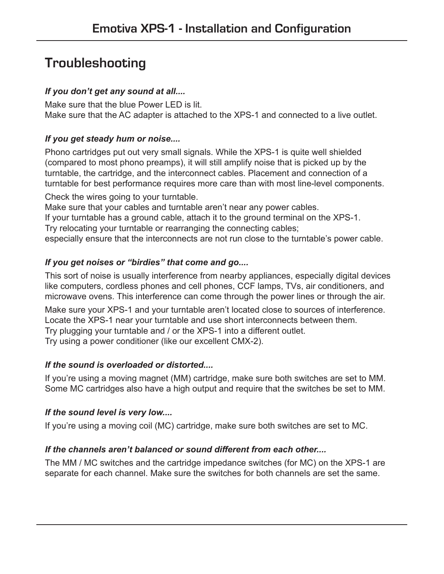# **Troubleshooting**

### *If you don't get any sound at all....*

Make sure that the blue Power LED is lit. Make sure that the AC adapter is attached to the XPS-1 and connected to a live outlet.

### *If you get steady hum or noise....*

Phono cartridges put out very small signals. While the XPS-1 is quite well shielded (compared to most phono preamps), it will still amplify noise that is picked up by the turntable, the cartridge, and the interconnect cables. Placement and connection of a turntable for best performance requires more care than with most line-level components.

Check the wires going to your turntable.

Make sure that your cables and turntable aren't near any power cables.

If your turntable has a ground cable, attach it to the ground terminal on the XPS-1.

Try relocating your turntable or rearranging the connecting cables;

especially ensure that the interconnects are not run close to the turntable's power cable.

### *If you get noises or "birdies" that come and go....*

This sort of noise is usually interference from nearby appliances, especially digital devices like computers, cordless phones and cell phones, CCF lamps, TVs, air conditioners, and microwave ovens. This interference can come through the power lines or through the air.

Make sure your XPS-1 and your turntable aren't located close to sources of interference. Locate the XPS-1 near your turntable and use short interconnects between them. Try plugging your turntable and / or the XPS-1 into a different outlet. Try using a power conditioner (like our excellent CMX-2).

#### *If the sound is overloaded or distorted....*

If you're using a moving magnet (MM) cartridge, make sure both switches are set to MM. Some MC cartridges also have a high output and require that the switches be set to MM.

#### *If the sound level is very low....*

If you're using a moving coil (MC) cartridge, make sure both switches are set to MC.

### *If the channels aren't balanced or sound different from each other....*

The MM / MC switches and the cartridge impedance switches (for MC) on the XPS-1 are separate for each channel. Make sure the switches for both channels are set the same.